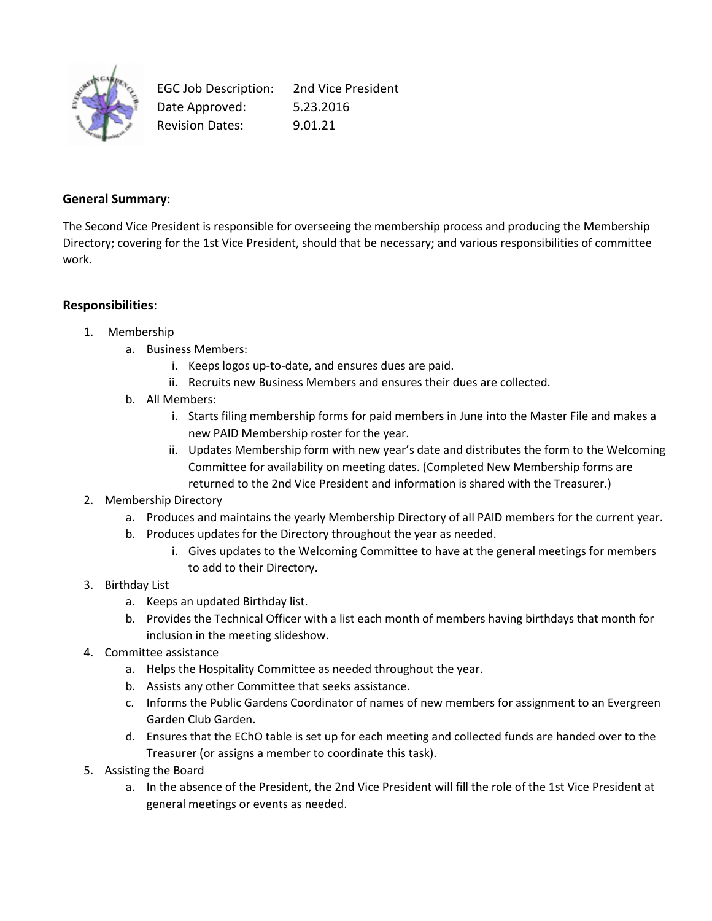

EGC Job Description: 2nd Vice President Date Approved: 5.23.2016 Revision Dates: 9.01.21

## **General Summary**:

The Second Vice President is responsible for overseeing the membership process and producing the Membership Directory; covering for the 1st Vice President, should that be necessary; and various responsibilities of committee work.

## **Responsibilities**:

- 1. Membership
	- a. Business Members:
		- i. Keeps logos up-to-date, and ensures dues are paid.
		- ii. Recruits new Business Members and ensures their dues are collected.
	- b. All Members:
		- i. Starts filing membership forms for paid members in June into the Master File and makes a new PAID Membership roster for the year.
		- ii. Updates Membership form with new year's date and distributes the form to the Welcoming Committee for availability on meeting dates. (Completed New Membership forms are returned to the 2nd Vice President and information is shared with the Treasurer.)
- 2. Membership Directory
	- a. Produces and maintains the yearly Membership Directory of all PAID members for the current year.
	- b. Produces updates for the Directory throughout the year as needed.
		- i. Gives updates to the Welcoming Committee to have at the general meetings for members to add to their Directory.

## 3. Birthday List

- a. Keeps an updated Birthday list.
- b. Provides the Technical Officer with a list each month of members having birthdays that month for inclusion in the meeting slideshow.
- 4. Committee assistance
	- a. Helps the Hospitality Committee as needed throughout the year.
	- b. Assists any other Committee that seeks assistance.
	- c. Informs the Public Gardens Coordinator of names of new members for assignment to an Evergreen Garden Club Garden.
	- d. Ensures that the EChO table is set up for each meeting and collected funds are handed over to the Treasurer (or assigns a member to coordinate this task).
- 5. Assisting the Board
	- a. In the absence of the President, the 2nd Vice President will fill the role of the 1st Vice President at general meetings or events as needed.